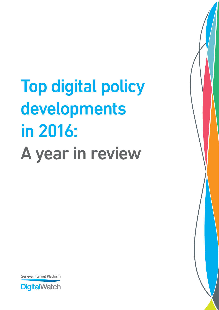Top digital policy developments in 2016: A year in review



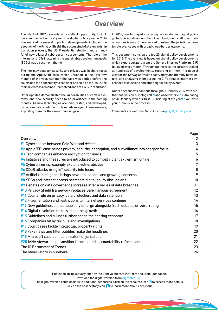### **Overview**

The start of 2017 presents an excellent opportunity to look back and reflect on last year. The digital policy year in 2016 was marked by several important developments, including the adoption of the Privacy Shield, the successful IANA stewardship transition process, the US Presidential election, and a handful of new bilateral cybersecurity agreements. The role of the Internet and ICTs in attaining the sustainable development goals (SDGs) was a recurrent theme.

The interplay between security and privacy was in sharp focus during the Apple/FBI case, which unfolded in the first few months of the year. Although the case was settled before the courts had the opportunity to consider and rule on the issue, the main dilemmas remained unresolved and are likely to resurface.

Other updates demonstrated the vulnerabilities of certain systems, and how security needs to be prioritised in the coming months. As new technologies are tried, tested, and developed, cybercriminals continue to take advantage of weaknesses, exploiting them for their own financial gain.

In 2016, courts played a growing role in shaping digital policy globally. A significant number of court judgments left their mark on various issues. Others served to extend the jurisdiction arm to rule over cases with broad cross-border elements.

This document sums up the top 20 digital policy developments for 2016. The overview is based on digital policy developments which expert curators from the Geneva Internet Platform (GIP) followed every month. Throughout the year, the curators looked at hundreds of developments, reporting on them in a neutral way for the *GIP Digital Watch* observatory and monthly newsletters, and analysing them during the GIP's regular Internet governance discussions and other digital policy events.

Our reflections will continue throughout January 2017 with further analysis on our blog roll $\Box$  and observatory,  $\Box$  culminating on 31 January with our first GIP briefing of the year.<sup>1</sup> We invite you to join us in the process.

*Comments are welcome. Get in touch via [gip@diplomacy.edu](http://gip@diplomacy.edu)*

|                                                                                               | Page           |
|-----------------------------------------------------------------------------------------------|----------------|
| Overview                                                                                      | $\overline{2}$ |
| #1 Cyberpeace: between Cold War and détente                                                   | 3              |
| $#2$ Apple/FBI case brings privacy, security, encryption, and surveillance into sharper focus | 4              |
| #3 Tech companies enhance encryption for users                                                | 5              |
| $#4$ Initiatives and measures are introduced to combat violent extremism online               | 6              |
| #5 Cybercrime increasingly exploits vulnerabilities                                           | 7              |
| #6 DDoS attacks bring IoT security into focus                                                 | 8              |
| #7 Artificial intelligence brings new applications and growing concerns                       | 9              |
| #8 SDGs and Internet access permeate digital policy discussions                               | 10             |
| #9 Debates on data governance increase after a series of data breaches                        | 11             |
| #10 Privacy Shield framework replaces Safe Harbour agreement                                  | 12             |
| $#11$ Courts rule on privacy, data protection, and data retention                             | 13             |
| #12 Fragmentation and restrictions to Internet services continue                              | 14             |
| #13 New guidelines on net neutrality emerge alongside fresh debates on zero-rating            | 15             |
| #14 Digital revolution fosters economic growth                                                | 16             |
| #15 Guidelines and rulings further shape the sharing economy                                  | 17             |
| #16 Companies hit by tax bills and investigations                                             | 18             |
| #17 Court cases tackle intellectual property rights                                           | 19             |
| #18 Fake news and filter bubbles make the headlines                                           | 20             |
| #19 Microsoft case delineates extent of jurisdiction                                          | 21             |
| #20 IANA stewardship transition is completed; accountability reform continues                 | 22             |
| The IG Barometer of Trends                                                                    | 23             |
| The observatory in numbers                                                                    | 24             |

Published on 10 January 2017 by the Geneva Internet Platform and DiploFoundation. Download the digital version from [dig.watch/2016](http://dig.watch/2016)

The digital version contains links to additional resources. Click on the resource icon  $\Box$  to access more details. Click on the observatory icon  $\Theta$  to learn more about each issue.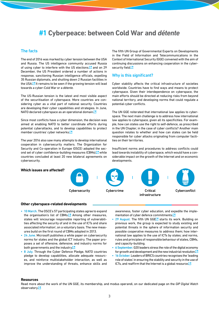### <span id="page-2-0"></span>**#1 Cyberpeace: between Cold War and** *détente*

### The facts

The end of 2016 was marked by cyber tension between the USA and Russia. The US intelligence community accused Russia of using cyber to interfere with the US elections. $\Box$  and on 29 December, the US President ordered a number of actions in response, sanctioning Russian intelligence officials, expelling 35 Russian diplomats, and shutting down 2 Russian facilities in the USA.<sup><sup>1</sup> It remains to be seen if the growing tension will lead</sup> towards a cyber-Cold War or a *détente.*

The US‑Russian tension is the latest and most visible aspect of the securitisation of cyberspace. More countries are considering cyber as a vital part of national security. Countries are developing their cyber capabilities and strategies. In June, NATO declared cyberspace as an operational domain[.](https://ccdcoe.org/nato-recognises-cyberspace-domain-operations-warsaw-summit.html)<sup>[2]</sup>

Since most conflicts have a cyber dimension, the decision was aimed at enabling NATO to better coordinate efforts during potential cyberattacks, and to develop capabilities to protect member countries' cyber network[s.](http://www.nato.int/cps/en/natohq/opinions_132349.htm?selectedLocale=en)<sup>[2]</sup>

The year 2016 also saw many attempts to develop international cooperation in cybersecurity matters. The Organization for Security and Co-operation in Europe (OSCE) adopted the second set of cyber confidence-building measures (CBMs), $\square$  while countries concluded at least 20 new bilateral agreements on cybersecurity.

The fifth UN Group of Governmental Experts on Developments in the Field of Information and Telecommunications in the Context of International Security (GGE) convened with the aim of continuing discussions on enhancing cooperation in the cybersecurity fiel[d.](http://digitalwatch.giplatform.org/processes/ungge)<sup>1</sup>

### Why is this significant?

Cyber stability affects the critical infrastructure of societies worldwide. Countries have to find ways and means to protect cyberspace. Given their interdependence on cyberspace, the main efforts should be directed at reducing risks from beyond national territory, and developing norms that could regulate a potential cyber conflicts.

The UN GGE reiterated that international law applies to cyberspace. The next main challenge is to address how international law applies to cyberspace, given all its specificities. For example, how can states use the right to self‑defence, as prescribed in the UN Chapter, in the case of cyber conflicts? Another main question relates to whether and how can states can be held responsible for cyber attacks originating from computer facilities on their territories.

Insufficient norms and procedures to address conflicts could lead towards instability of cyberspace, which would have a considerable impact on the growth of the Internet and on economic developments.

# Cybersecurity Cybercrime Critical Cyberconflict infrastructure **Which issues are affected?**

#### **Other cyberspace‑related developments**

- 10 March. The OSCE's 57 participating states agree to expand the organisation's list of CBMs.<sup>7</sup> Among other measures, states will 'encourage responsible reporting of vulnerabilities affecting the security of and in the use of ICTs and share associated information', on a voluntary basis. The new measures build on the first round of CBMs adopted in 2013.
- 24 June. Microsoft publishes a white paper on cybersecurity norms for states and the global ICT industry. The paper proposes a set of offensive, defensive, and industry norms for both governments and the industr[y.](http://blogs.microsoft.com/on-the-issues/2016/06/23/cybersecurity-norms-nation-states-global-ict-industry/#sm.000019g56gimnd4xpbm1e8yqg8fs8)<sup>12</sup>
- 8 July. Through the Cyber Defence Pledge, NATO countries pledge to develop capabilities, allocate adequate resources, and reinforce multistakeholder interaction, as well as improve the understanding of threats, enhance skills and

awareness, foster cyber education, and expedite the implementation of cyber defence commitment[s.](http://www.nato.int/cps/en/natohq/official_texts_133177.htm?selectedLocale=en)<sup>[2]</sup>

- 29 August. The fifth UN GGEL's starts its work. Building on previous work, the group is expected to study existing and potential threats in the sphere of information security and possible cooperative measures to address them; how international law applies to the use of ICTs by states; and norms, rules and principles of responsible behaviour of states, CBMs, and capacity‑building.
- 6 September. G20 leaders stress the role of the digital economy for growth and development and the new industrial revolutio[n.](http://digitalwatch.giplatform.org/events/g20-leaders-summit) $\square$
- 16 October. Leaders of BRICS countries recognises the 'leading role of states' in ensuring the stability and security in the use of ICTs, and reaffirm that the Internet is a global resourc[e.](http://mea.gov.in/bilateral-documents.htm?dtl/27491/Goa_Declaration_at_8th_BRICS_Summit)<sup>[2]</sup>

#### **Resources**

Read more about the work of the UN GGE, its membership, and modus operandi, on our dedicated page on the *GIP Digital Watch* observator[y.](http://digitalwatch.giplatform.org/processes/ungge)<sup>[2]</sup>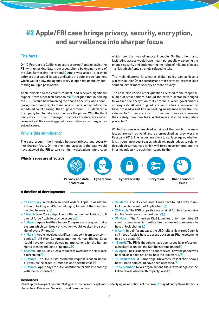## <span id="page-3-0"></span>**#2 Apple/FBI case brings privacy, security, encryption, and surveillance into sharper focus**

### The facts

On 17 February, a Californian court ordered Apple to assist the FBI with unlocking data from a cell phone belonging to one of the San Bernardino terrorists.<sup>7</sup> Apple was asked to provide software that would 'bypass or disable the auto-erase function', which would allow the agency to try to open the phone by submitting multiple passwords.

Apple objected to the court's request, and received significant support from other tech companies.  $\Box$  It argued that in helping the FBI, it would be weakening the phone's security, and endangering the privacy rights of millions of users. A day before the scheduled court hearing, the US government (USG) declared a third party had found a way to unlock the phone. Who the third party was, or how it managed to access the data, was never revealed, yet the case triggered heated debates on many unre‑ solved issues.

### Why is this significant?

The case brought the interplay between privacy and security into sharper focus. On the one hand, access to the data would have allowed the FBI to carry on its investigations into a case which took the lives of innocent people. On the other hand, facilitating access would have meant potentially weakening the phone's security and endangering the rights of millions of users – a risk which Apple strongly refused to take.

The main dilemma is whether digital policy can achieve a win-win solution (more security and more privacy), or a win-lose solution (either more security or more privacy).

The case also raised other questions related to the responsibilities of stakeholders. Should the private sector be obliged to weaken the encryption of its products, when governments so request? At which point are authorities considered to have crossed a red line in seeking assistance from the private sector?If users are left to their own devices to ensure their safety, how can less skilful users also be adequately protected?

While the case was resolved outside of the courts, the main issues are still as valid and as unresolved as they were in February 2016. The issues are likely to surface again, whether it is through new court cases which will push judges to rule, or through circumstances which will force governments and the Internet industry to push their cases further.



### **A timeline of developments**

- 17 February. A Californian court orders Apple to assist the FBI in unlocking an iPhone belonging to one of the San Bernardino terrorist[s.](https://assets.documentcloud.org/documents/2714001/SB-Shooter-Order-Compelling-Apple-Asst-iPhone.pdf)<sup>12</sup>
- 1 March. New York judge: The US Department of Justice (DoJ) cannot force Apple to provide acces[s.](http://www.zdnet.com/article/apple-scores-a-win-in-all-writs-act-fight-against-us-government/#ftag=RSSbaffb68)<sup>[2]</sup>
- 1 March. Apple testifies before Congress and argues that a system which can break encryption would weaken the security of every iPhon[e.](http://techcrunch.com/2016/02/29/apple-vs-fbi-read-apples-opening-statement-to-congress-tomorrow/?ncid=rss)<sup>[2</sup>]
- 4 March. Apple receives significant support from tech companies.<sup>1</sup> UN High Commissioner for Human Rights: Case 'could have extremely damaging implications for the human rights of many millions of people... $^{\prime}$
- 8 March. The US DoJ files a request to overturn the New York court rulin[g.](http://www.reuters.com/article/uk-apple-encryption-idUSKCN0W92HZ?feedType=RSS&feedName=internetNews) $\square$
- 10 March. The US DoJ states that the request is not an 'undue burden', as the order is limited to one specific cas[e.](https://www.scribd.com/doc/303741223/Government-s-reply-to-Apple-s-motion-to-vacate)<sup>[2]</sup>
- 16 March. Apple says the US Constitution forbids it to comply with the court order<sup>7</sup>
- 22 March. The USG declares it may have found a way to un-lock the phone without Apple's help[.](http://www.scribd.com/doc/305549490/Apple-vs-FBI-Motion-to-Vacate)  $\Box$
- 29 March. The USG drops its case against Apple, after obtain-ing the 'assistance of a third party['.](http://www.justice.gov/usao-cdca/pr/statement-united-states-attorney-eileen-m-decker-government-request-vacate-order) $\Box$
- 31 March. The American Civil Liberties Union identifies 63 court orders in which authorities requested companies to help unlock phone[s.](https://www.aclu.org/blog/speak-freely/map-shows-how-apple-fbi-fight-was-about-much-more-one-phone)<sup>[3]</sup>
- 8 April. In a different case, the USG tells a New York Court it still needs Apple's help to access data on an iPhone belonging to a drug deale[r.](http://uk.businessinsider.com/the-government-still-wants-apple-to-help-it-crack-an-iphone-in-new-york-2016-4) $\square$
- 13 April. The FBI is thought to have been aided by professional hackers to unlock the San Bernardino phon[e.](https://www.washingtonpost.com/world/national-security/fbi-paid-professional-hackers-one-time-fee-to-crack-san-bernardino-iphone/2016/04/12/5397814a-00de-11e6-9d36-33d198ea26c5_story.html)<sup>1</sup>
- 27 April. The FBI declares it cannot reveal how the phone was hacked, as it does not know how the tool work[s.](http://www.wsj.com/article_email/fbi-plans-to-keep-apple-iphone-hacking-method-secret-sources-say-1461694735-lMyQjAxMTE2MTI5NjcyMTYyWj)
- 15 September. A Cambridge University researcher shows how iPhone data could have been accesse[d.](https://arxiv.org/pdf/1609.04327v1.pdf)<sup>1</sup>
- 16 September. News organisations file a lawsuit against the FBI to reveal who the 'third party' wa[s.](https://www.documentcloud.org/documents/3109606-16-Cv-1850-Dkt-No-1-Complaint.html)  $\square$

#### **Resources**

Read Diplo's five-part *Socratic Dialogue* on the core concepts and underlying assumptions of the case, **P** played out by three fictitious characters: Privarius, Securium, and Commercias.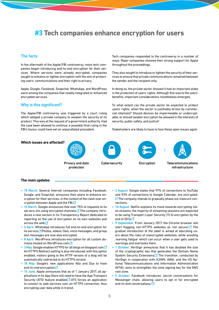### <span id="page-4-0"></span>**#3 Tech companies enhance encryption for users**

### The facts

In the aftermath of the Apple/FBI controversy, more tech companies began introducing end-to-end encryption for their services. Where services were already encrypted, companies sought to enhance or tighten encryption with the aim of protecting users' communications and their right to privacy.

Apple, Google, Facebook, Snapchat, WhatsApp, and WordPress were among the companies that readily integrated or enhanced encrypted services.

### Why is this significant?

The Apple/FBI controversy was triggered by a court ruling which obliged a private company to weaken the security of its product. This was at the request of a government authority. Had the case been allowed to continue, a possible final ruling in the FBI's favour could have set an unparalleled precedent.

Tech companies responded to the controversy in a number of ways. Major companies showed their strong support for Apple throughout the proceedings.

They also sought to introduce or tighten the security of their services to ensure that private communications remained between the sender and the recipient only.

In doing so, the private sector showed it had an important stake in the protection of users' rights. Although this was to the users' benefits, important considerations nonetheless emerged.

To what extent can the private sector be expected to protect users' rights, when the sector is justifiably driven by commercial interests? Should devices be impermeable or undecryptable, or should weaker encryption be allowed in the interests of security, public safety, and justice?

Stakeholders are likely to have to face these open issues again.



#### **The main updates**

- 15 March. Several Internet companies including Facebook, Google, and Snapchat, announce their plans to enhance en‑ cryption for their services, in the context of the clash over en-cryption between Apple and the FB[I.](http://www.theguardian.com/technology/2016/mar/14/facebook-google-whatsapp-plan-increase-encryption-fbi-apple)<sup>1</sup>
- 16 March. Google announces that over 75% of requests to its servers are using encrypted channels.<sup>[\*</sup>] The company introduces a new section in its Transparency Report dedicated to reporting on the use of encryption on its own websites and across the we[b.](https://www.google.com/transparencyreport/https)<sup>[2]</sup>
- 5 April. WhatsApp introduces full end-to-end encryption for its service.<sup><sup>2</sup> Photos, videos, files, voice messages, and group</sup> text messages are now also encrypted.
- 8 April. WordPress introduces encryption for all custom do-mains hosted on WordPress[.](https://en.blog.wordpress.com/2016/04/08/https-everywhere-encryption-for-all-wordpress-com-sites/)com.<sup>7</sup>
- 3 May[.](https://security.googleblog.com/2016/05/bringing-https-to-all-blogspot-domain.html?) Google enables HTTPS for all blogs on blogspot.com.<sup>12</sup> An HTTPS Redirect setting is also introduced; with this option enabled, visitors going to the HTTP version of a blog will be automatically redirected to its HTTPS version.
- 18 May. Google's new applications Allo and Duo to have end-to-end encryptio[n.](https://googleblog.blogspot.ro/2016/05/allo-duo-apps-messaging-video.html)<sup>12</sup>
- 15 June. Apple announces that as of 1 January 2017, all applications in its App Store will need to have the App Transport Security (ATS) feature enabled.<sup>[2]</sup> ATS forces an application to connect to web services over an HTTPS connection, thus encrypting user data while in transit.
- 2 August. Google states that 97% of connections to YouTube and 93% of connections to Google Calendar, are encrypted.  $\Sigma$  [T](https://security.googleblog.com/2016/08/adding-youtube-and-calendar-to-https.html)he company intends to gradually phase out insecure connections.
- 10 August. Netflix explains its move towards encrypting video streams; the majority of streaming sessions are expected to be using Transport Layer Security (TLS) encryption by the end of  $2016.$  $2016.$
- 9 September. From January 2017, the Chrome browser will start flagging non-HTTPS websites as 'not secure'.<sup>'</sup> The gradual introduction of the label is aimed at educating users about the risks of unencrypted websites, while avoiding 'warning fatigue' which can occur when a user gets used to warnings and overlooks them.
- 1 October. VeriSign announces that it has doubled the size of the cryptographic key that generates the Domain Name System Security Extensions.<sup>7</sup> The transition, conducted by VeriSign in cooperation with ICANN, IANA, and the US National Telecommunications and Information Administration (NTIA), aims to strengthen the zone signing key for the DNS root zone.
- 5 October. Facebook introduces 'secret conversations for Messenger chats, allowing users to opt in for encrypted end-to-end conversations.<sup>'[2]</sup>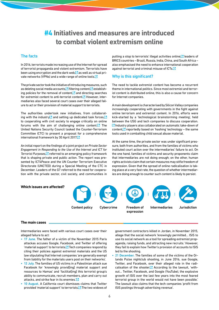## <span id="page-5-0"></span>**#4 Initiatives and measures are introduced to combat violent extremism online**

### The facts

In 2016, terrorists made increasing use of the Internet for spread of terrorist propaganda and violent extremism. Terrorists have been using encryption and the dark web,  $\Box$  as well as virtual private networks (VPNs) and a wide range of online tool[s.](https://www.flashpoint-intel.com/home/assets/Media/TechForJihad.pdf)<sup>[2]</sup>

The private sector took the initiative of introducing measures, such as deleting social media accounts, Mattering content, Matestablishing policies for the removal of content, $\Box$  and directing searches for extremist content to anti-terrorist content. $\Box$  However, intermediaries also faced several court cases over their alleged failure to act or their provision of material support to terrorists.

The authorities undertook new initiatives, from collaborating with the industr[y](http://www.reuters.com/article/us-usa-security-tech-idUSKBN0UM25Q20160108) and setting up dedicated task forces[,](https://www.whitehouse.gov/the-press-office/2016/01/08/statement-nsc-spokesperson-ned-price-updates-us-government-efforts)  $\Box$ to cooperating with civil society to engage critically on online forums with the aim of challenging online content. $\Box$  The United Nations Security Council tasked the Counter‑Terrorism Committee (CTC) to present a proposal for a comprehensive international framework by 30 April 201[7.](http://www.un.org/apps/news/story.asp?NewsID=53909#.VzRsZMerZ0I)

An initial report on the findings of a joint project on *Private Sector Engagement in Responding to the Use of the Internet and ICT for Terrorist Purposes*, **P** referred to an emerging policy framework that is shaping private and public action. The report was presented by ICT4Peace and the UN Counter Terrorism Executive Directorate (UNCTED) during a Special Meeting of the CTC in December. Leaders of the G7 referred to the need for cooperation with the private sector, civil society, and communities in

putting a stop to terrorists' illegal activities online; $\Box$  leaders of BRICS countries – Brazil, Russia, India, China, and South Africa – also emphasised the need to enhance international cooperation against terrorist and criminal misuse of ICTs[.](http://mea.gov.in/bilateral-documents.htm?dtl/27491/Goa_Declaration_at_8th_BRICS_Summit)<sup>[2]</sup>

### Why is this significant?

The need to tackle extremist content has become a recurrent theme in international politics. Since most extremist and terrorist content is distributed online, this is also a cause for concern for Internet companies.

A main development is characterised by Silicon Valley companies increasingly cooperating with governments in the fight against online terrorism and extremist content. In 2016, efforts were kick-started by a 'technological brainstorming meeting', held between the USG and tech companies to discuss cooperation. **■**Industry players also collaborated on automatic take-down of content, $\Box$  reportedly based on 'hashing' technology – the same tools used in combatting child sexual abuse material.

At the same time, the private sector was under significant pressure, both from authorities, and from the families of victims who instituted court action over the intermediaries' failure to act. On the one hand, families of victims and security proponents claim that intermediaries are not doing enough; on the other, human rights activists claim that certain measures may stifle freedom of expression. Given that the spread of online radicalisation is taking place at a very fast rate, the question of whether intermediaries are doing enough to counter such content is likely to persist.

### Content policy Cybercrime Freedom of Intermediaries expression Jurisdiction **Which issues are affected?**

### **The main cases**

Intermediaries were faced with various court cases over their alleged failure to act:

- 17 June. The father of a victim of the November 2015 Paris attackas accuses Google, Facebook, and Twitter of offering 'material support' to terrorists.<sup>7</sup> Tech companies respond by citing their policies against extremist materials and the US law stipulating that Internet companies 'are generally exempt from liability for the materials users post on their networks'.
- 12 July. The families of US victims in a Palestinian attack sue Facebook for 'knowingly provid[ing] material support and resources to Hamas' and 'facilitat[ing] this terrorist group's ability to communicate, recruit members, plan and carry out attacks, and strike fear in its enemies.<sup>'[2</sup>]
- 10 August. A California court dismisses claims that Twitter provided 'material support' to terrorists.<sup>7</sup> The two widows of

government contractors killed in Jordan, in November 2015, allege that the social network 'knowingly permitted… ISIS to use its social network as a tool for spreading extremist propaganda, raising funds, and attracting new recruits.' However, they fail to explain how Twitter's provision of accounts to ISIS led to the shooting.

• 21 December. The families of some of the victims of the Orlando Pulse nightclub shooting, in June 2016, sue Google, Twitter, and Facebook, over their alleged role in the radicalisation of the shooter. $\Box$  According to the lawsuit, 'without… Twitter, Facebook, and Google (YouTube), the explosive growth of ISIS over the last few years into the most feared terrorist group in the world would not have been possible.' The lawsuit also claims that the tech companies 'profit from ISIS postings through advertising revenue'.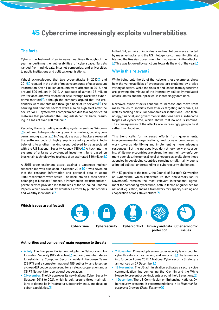### <span id="page-6-0"></span>**#5 Cybercrime increasingly exploits vulnerabilities**

### The facts

Cybercrime featured often in news headlines throughout the year, underlining the vulnerabilities of cyberspace. Targets ranged from individuals, Internet companies, and universities to public institutions and political organisations.

Yahoo! acknowledged that two cyber-attacks in 2013<sup>™</sup> and 201[4 r](https://www.cnet.com/news/yahoo-500-million-accounts-hacked-data-breach/)esulted in the theft of massive amounts of user account information. Over 1 billion accounts were affected in 2013, and around 500 million in 2014. A database of almost 33 million Twitter accounts was offered for sale through Dark web cybercrime markets $\Box$ [,](http://www.zdnet.com/article/twitter-32-million-credentials-accounts-selling-online/) although the company argued that the credentials were not obtained through a hack of its servers.  $\Box$  The banking and financial sectors were also on high alert after the secure SWIFT system was compromised due to a sophisticated malware that penetrated the Bangladesh central bank, resulting in a loss of over \$80 millio[n.](http://www.ibtimes.co.uk/bank-hacking-malware-discovery-leaves-11000-global-financial-institutions-high-alert-1556631)<sup>12</sup>

Zero-day flaws targeting operating systems such as Windows  $\Box$  [c](http://securityaffairs.co/wordpress/47910/cyber-crime/windows-zero-day.html)ontinued to be popular on cybercrime markets, causing concerns among experts.<sup>[2]</sup> In August, a group of hackers revealed the software code of highly sophisticated cyberattack tools belonging to another hacking group believed to be associated with the US National Security Agency (NSA[\).](https://www.washingtonpost.com/world/national-security/powerful-nsa-hacking-tools-have-been-revealed-online/2016/08/16/bce4f974-63c7-11e6-96c0-37533479f3f5_story.html?utm_term=.0e408386381f) A hack into the systems of a large crowdfunded investment fund based on blockchain technology led to a loss of an estimated \$60 millio[n.](http://www.coindesk.com/dao-attacked-code-issue-leads-60-million-ether-theft/)<sup>12</sup>

A 2015 cyber‑espionage attack against a Japanese nuclear research lab was disclosed in October 2016[; i](http://www.japantimes.co.jp/news/2016/10/11/national/crime-legal/toyama-tritium-researchers-data-targeted-cyberattacks/#.WAatQ8mlypQ)t was revealed that the research information and personal data of about 1500 researchers were stolen. The hack into an e-mail server belonging to Mossack Fonseca, a Panamanian law firm and corporate service provider, led to the leak of the so-called Panama Papers, which revealed tax avoidance efforts by public officials and wealthy individuals[.](http://www.ibtimes.co.uk/panama-papers-who-responsible-mossack-fonseca-email-server-data-leak-1553198)<sup>[2]</sup>

In the USA, e-mails of individuals and institutions were affected by massive hacks, and the US intelligence community officially blamed the Russian government for involvement in the attacks.  $\Box$  [T](https://www.dhs.gov/news/2016/10/07/joint-statement-department-homeland-security-and-office-director-national)his was followed by sanctions towards the end of the yea[r.](https://www.whitehouse.gov/the-press-office/2016/12/29/statement-president-actions-response-russian-malicious-cyber-activity)  $\Box$ 

### Why is this relevant?

While being only the tip of the iceberg, these examples show how the vulnerabilities of cyberspace are exploited by a wide variety of actors. While the risks of and losses from cybercrime are growing, the misuse of the Internet by politically motivated actors (states and their proxies) is increasingly dominant.

Moreover, cyber‑attacks continue to increase and move from mass frauds to sophisticated attacks targeting individuals, as well as hacking particular companies or institutions. Lead technology, financial, and government institutions have also become targets of cybercrime, which shows that no one is immune. The consequences of the attacks are increasingly geo-political rather than localised.

This trend calls for increased efforts from governments, intergovernmental organisations, and private companies to work towards identifying and implementing more adequate responses. But the perspectives do not look very encouraging. While more countries are strengthening their law enforcement agencies, the general level of resources available to these agencies in developing countries remains small, mainly due to a limited political understanding of cybersecurity challenges.

With 50 parties to the treaty, the Council of Europe's Convention on Cybercrime, which celebrated its 15th anniversary (on 19 November), remains the most relevant international agreement for combating cybercrime, both in terms of guidelines for national legislation, and as a framework for capacity building and cooperation across stakeholder[s.](https://rm.coe.int/CoERMPublicCommonSearchServices/DisplayDCTMContent?documentId=09000016806be360)<sup>7</sup>

### **Which issues are affected?**





protection issues

#### **Authorities and companies' main response to threats**

- 6 July. The European Parliament adopts the Network and Information Security (NIS) directiv[e,](http://europa.eu/rapid/press-release_MEMO-16-2422_en.htm)  $\mathbb Z$  requiring member states to establish a Computer Security Incident Response Team (CSIRT) and a competent national NIS authority, and to set up a cross-EU cooperation group for strategic cooperation and a CSIRT Network for operational cooperation.
- 2 November. The UK approves its new National Cyber Security Strategy 2016 to 2021, which is built around three main pillars: to defend its infrastructure, deter criminals, and develop cyber-capabilitie[s.](https://www.gov.uk/government/uploads/system/uploads/attachment_data/file/567242/national_cyber_security_strategy_2016.pdf)<sup>[2]</sup>
- 7 November. China adopts a new cybersecurity law to counter cyberthreats, such as hacking and terrorism.<sup>12</sup> The law enters into force on 1 June 2017. A National Cybersecurity Strategy is announced on 27 December<sup>7</sup>
- 16 November. The US administration activates a secure voice communication line connecting the Kremlin and the White House, to prevent cyber-incidents around the US election[s.](https://www.washingtonpost.com/opinions/global-opinions/in-our-new-cold-war-deterrence-should-come-before-detente/2016/11/15/051f4a84-ab79-11e6-8b45-f8e493f06fcd_story.html?utm_term=.5dce698af25e)<sup>12</sup>
- 1 December. The US Commission on Enhancing National Cybersecurity presents 16 recommendations in its *Report of Security and Growing Digital Economy*[.](https://www.whitehouse.gov/sites/default/files/docs/cybersecurity_report.pdf)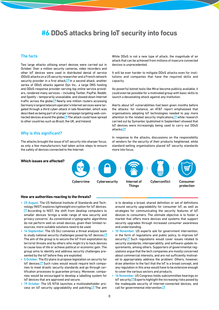### <span id="page-7-0"></span>**#6 DDoS attacks bring IoT security into focus**

### The facts

Two large attacks utilising smart devices were carried out in October. Over a million security cameras, video recorders and other IoT devices were used in distributed denial of service (DDoS) attacks on a US security researcher and a French network security provider in a first attack.  $\Box$  In a second attack, another series of DDoS attacks against Dyn Inc., a large DNS hosting and DDoS-response provider serving top online service providers, rendered many services – including Twitter, PayPal, Reddit, and Spotify – temporarily unavailable, and slowed down Internet traffic across the globe. $\Box$  Nearly one million routers accessing Germany's largest telecom operator's Internet services were targeted through a third cyber-attack in late November, which was described as being part of a larger campaign targeting web-connected devices around the globe.<sup>7</sup> The attack could have spread to other countries such as Brazil, the UK, and Ireland.

### Why is this significant?

The attacks brought the issue of IoT security into sharper focus, as only a few manufacturers had taken active steps to ensure the safety of devices connected to the Internet.

**Which issues are affected?**

While DDoS is not a new type of attack, the magnitude of an attack that can be achieved from millions of insecure connected devices is unprecedented.

It will be ever harder to mitigate DDoS attacks even for institutions and companies that have the required skills and capacity.

As powerful botnet tools like Mirai become publicly available, it could even be possible for a motivated group with basic skills to launch a devastating attack against any institution.

Alerts about IoT vulnerabilities had been given months before the attacks: for instance, an AT&T report emphasised that organisations adopting IoT technologies needed to pay more attention to the related security implication[s,](https://www.corp.att.com/cybersecurity/docs/exploringiotsecurity.pdf)  $\Delta$  while research carried out by Symantec (published in September) showed that IoT devices were increasingly being used to carry out DDoS attacks<sup>[2]</sup>

In response to the attacks, discussions on the responsibility of vendors for the security of their products heightened, while standard-setting organisations placed IoT security standards more into focus.



#### **How are authorities reacting to the threats?**

- 25 August. The US National Institute of Standards and Technology (NIST) explores lightweight encryption for IoT devices.  $\Box$ According to NIST, the shift from desktop computers to smaller devices 'brings a wide range of new security and privacy concerns'. As conventional cryptographic algorithms do not perform well on small devices, given their limited resources, more suitable solutions need to be used.
- 14 September. The US DoJ convenes a threat analysis team to study national security challenges posed by IoT devices[.](http://www.reuters.com/article/us-usa-cyber-justice-idUSKCN11F2FP)<sup>[3]</sup> The aim of the group is to secure the IoT from exploitation by terrorist threats and by others who might try to hack devices to cause loss of life or achieve political or economic gain. The group aims to identify and address security challenges pre‑ sented by the IoT before they are exploited.
- 5 October. The EU plans to propose legislation on security for IoT devices. $\Box$  Such rules would would require tech companies to meet drastic security standards and go through certification processes to guarantee privacy. Moreover, companies would be encouraged to develop a labelling system for IoT devices that are approved and secure.
- 19 October. The US NTIA launches a multistakeholder process on IoT security upgradability and patching. $\Box$  The aim

is to develop a broad, shared definition or set of definitions around security upgradability for consumer IoT, as well as strategies for communicating the security features of IoT devices to consumers. The ultimate objective is to foster a market that offers more devices and systems that support security upgrades through increased consumer awareness and understanding.

- 10 November. US experts ask for government intervention, in the form of regulations and public policy, to improve IoT security.<sup>1</sup> Such regulations would cover issues related to security standards, interoperability, and software update requirements, among others. Supporters of governmental regulations argue that the tech companies are mostly concerned about commercial interests, and are not sufficiently motivated to appropriately address the problem. Others, however, draw attention to the fact that the IoT is a broad concept, and any regulation in this area would have to be extensive enough to cover the various sectors and products.
- 16 November. US Congress holds subcommittee hearings on IoT security. $\Box$  Experts highlight the increasing risks posed by the inadequate security of Internet-connected devices, and call for governmental intervention[.](http://www.theregister.co.uk/2016/11/16/experts_to_congress_you_must_act_on_iot_security_congress_encourage_industry_to_develop_best_practices_you_say/)<sup>1</sup>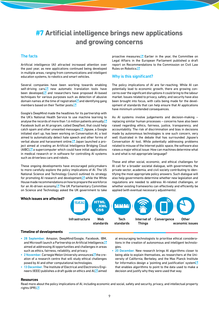### <span id="page-8-0"></span>**#7 Artificial intelligence brings new applications and growing concerns**

### The facts

Artificial intelligence (AI) attracted increased attention over the past year, as new applications continued being developed in multiple areas, ranging from communications and intelligent education systems, to robotics and smart vehicles.

Several companies have been working towards enabling self-driving cars, $\Box$  new automatic translation tools have been developed, $\Box$  and researchers have proposed AI-based techniques for various purposes such as detection of abusive domain names at the time of registration  $\Box$  and identifying gang members based on their Twitter post[s.](https://arxiv.org/pdf/1610.08597.pdf)<sup>12</sup>

Google's DeepMind made the headlines for its partnership with the UK's National Health Service to use machine learning to analyse the records of more than 1.6 million patients annuall[y.](http://www.dailymail.co.uk/news/article-3960990/Google-wins-controversial-data-deal-NHS-handed-1-6m-medical-records-develop-new-app.html)<sup>7</sup> Facebook built an AI program, called DeepText, that could help catch spam and other unwanted message[s.](https://code.facebook.com/posts/181565595577955/introducing-deeptext-facebook-s-text-understanding-engine/)  $\Box$  Jigsaw, a Google initiated start up, has been working on Conversation AI, a tool aimed to automatically detect hate speech and other forms of verbal abuse and harassment online. $\Box$  Japan launched a project aimed at creating an Artificial Intelligence Bridging Cloud  $(A\vert BC)$ ,  $\Box$  a supercomputer which could have initial applications in medical research or in software for controlling AI systems such as driverless cars and robots.

These ongoing developments have encouraged policymakers to more carefully explore the policy implications of AI. The US National Science and Technology Council outlined its strategy for promoting AI research and development, $\Box$  while the White House made recommendations on how to prepare the workforce for an AI-driven economy.<sup>12</sup> The UK Parliamentary Committee on Science and Technology asked the UK government to take

proactive measures. $\Box$  Earlier in the year, the Committee on Legal Affairs in the European Parliament published a draft report on Recommendations to the Commission on Civil Law Rules on Robotic[s.](http://www.europarl.europa.eu/sides/getDoc.do?pubRef=-//EP//NONSGML%2BCOMPARL%2BPE-582.443%2B01%2BDOC%2BPDF%2BV0//EN)

### Why is this significant?

The policy implications of AI are far-reaching. While AI can potentially lead to economic growth, there are growing concerns over the significant disruptions it could bring to the labour market. Issues related to privacy, safety, and security have also been brought into focus, with calls being made for the development of standards that can help ensure that AI applications have minimum unintended consequences.

As AI systems involve judgements and decision-making replacing similar human processes – concerns have also been raised regarding ethics, fairness, justice, transparency, and accountability. The risk of discrimination and bias in decisions made by autonomous technologies is one such concern, very well illustrated in the debate that has surrounded Jigsaw's Conversation AI tool. While potentially addressing problems related to misuse of the Internet public space, the software also raises a major ethical issue: How can machines determine what is and what is not appropriate language?

These and other social, economic, and ethical challenges for AI call for a broader societal dialogue, with governments, the private sector, academia, and civil society contributing to identifying the most appropriate policy answers. Such dialogue will also help governments determine whether new legislation and regulations are needed to address AI-related challenges, or whether existing frameworks can effectively and efficiently be applied (with eventual necessary adjustments).



### **Timeline of developments**

- 28 September. Amazon, DeepMind/Google, Facebook, IBM, and Microsoft launch a Partnership on Artificial Intelligenc[e,](https://www.partnershiponai.org/) aimed at addressing AI opportunities and challenges in areas such as ethics, fairness, reliability, and privacy.
- 2 November. Carnegie Melon University announces $\Box$  the creation of a research centre that will study ethical challenges posed by AI and other computational technologies.
- 13 December. The Institute of Electrical and Electronics Engi-neers (IEEE) publishes a draft guide on ethics and A[I, a](http://standards.ieee.org/develop/indconn/ec/autonomous_systems.html)imed

at encouraging technologists to prioritise ethical considerations in the creation of autonomous and intelligent technologies.

20 December. New research brings AI algorithms closer to being able to explain themselves, as researchers at the University of California, Berkeley, and the Max Planck Institute for Infor[m](https://arxiv.org/pdf/1612.04757v1.pdf)atics design a 'pointing and justification' system<sup>[3]</sup> that enables algorithms to point to the data used to make a decision and justify why they were used that way.

#### **Resources**

Read more about the policy implications of AI, including economic and social, safety and security, privacy, and intellectual property rights (IPR) $E$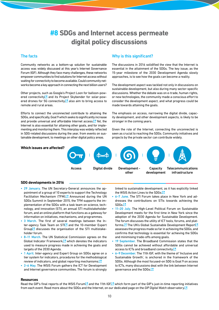### **#8 SDGs and Internet access permeate digital policy discussions**

### <span id="page-9-0"></span>The facts

Community networks as a bottom-up solution for sustainable access was widely discussed at this year's Internet Governance Forum (IGF). Although they face many challenges, these networks empower communities to find solutions for Internet access without waiting for connectivity to become available. Could community networks become a key approach in connecting the next billion users?

Other projects, such as Google's Project Loon for balloon-powered connectivity<sup>™</sup> and its Project Skybender for solar-powered drones for 5G connectivity, $\Box$  also aim to bring access to remote and rural areas.

Efforts to connect the unconnected contribute to attaining the SDGs, and specifically, Goal 9 which seeks to significantly increase and provide universal and affordable Internet access. $\blacksquare$  Yet, the Internet is also essential for attaining other goals, and for implementing and monitoring them. This interplay was widely reflected in SDG-related discussions during the year, from events on sustainable development, to meetings on other digital policy areas.

### Why is this significant?

The discussions in 2016 solidified the view that the Internet is essential in the attainment of the SDGs. The key issue, as the 15‑year milestone of the 2030 Development Agenda slowly approaches, is to see how the goals can become a reality.

The development aspect was tackled not only in discussions on sustainable development, but also during many sector-specific discussions. Whether the debate was on e‑trade, human rights, or new technologies, the community made a conscious effort to consider the development aspect, and what progress could be made towards attaining the goals.

The emphasis on access, narrowing the digital divide, capacity development, and other development aspects, is likely to be stronger in the coming years.

Given the role of the Internet, connecting the unconnected is seen as crucial to reaching the SDGs. Community initiatives and projects by the private sector can contribute widely.

### **Which issues are affected?**



#### **SDG developments in 2016**

- 29 January. The UN Secretary-General announces the appointment of a group of 10 experts to support the Technology Facilitation Mechanism (TFM). $\Box$  Announced during the UN SDGs Summit in September 2015, the TFM supports the im‑ plementation of the SDGs with a task team on science, technology, and innovation (STI), an annual STI multistakeholder forum, and an online platform that functions as a gateway for information on initiatives, mechanisms, and programmes.
- 3 March. The first of several meetings between the Inter-agency Task Team on  $STL<sub>2</sub>$  and the 10-member Expert Group $\Box$  discusses the organisation of the STI multistakeholder forum.
- 8–11 March. The UN Statistical Commission agrees on the Global Indicator Framework. $\Box$  which denotes the indicators used to measure progress made in achieving the goals and targets of the 2030 Agenda.
- 1 April. Inter-agency and Expert Group on SDGs agree on a tier system for indicators, procedures for the methodological review of indicators, and global reporting mechanism[s.](http://unstats.un.org/sdgs/files/meetings/iaeg-sdgs-meeting-03/Provisional-Proposed-Tiers-for-SDG-Indicators-24-03-16.pdf)<sup>7</sup>
- 2–6 May. The WSIS Forum gathers the ICT for Development and Internet governance communities. The forum is strongly

linked to sustainable development, as it has explicitly linked the WSIS Action Lines to the SDGs[.](http://digitalwatch.giplatform.org/events/wsis-forum-2016)<sup>7</sup>

- 6-7 June. The STI Forum takes place in New York and addresses the contributions on STIs towards achieving the SDG[s.](https://sustainabledevelopment.un.org/TFM/STIForum)<sup>12</sup>
- 11-20 July. The High-Level Political Forum on Sustainable Development meets for the first time in New York since the adoption of the 2030 Agenda for Sustainable Development. The forum discusses the utility of ICT tools, forums, and platforms.<sup>1</sup> The UN's Global Sus[t](https://sustainabledevelopment.un.org/index.php?page=view&type=400&nr=2328&menu=1515)ainable Development Report<sup>1</sup> assesses the progress made so far in achieving the SDGs, and confirms that technology is essential for achieving the SDGs and minimising trade‑offs among goals.
- 19 September. The Broadband Commission states that the SDGs cannot be achieved without affordable and universal access to ICTs and broadband connectivit[y.](http://www.itu.int/en/mediacentre/Pages/2016-PR37.aspx)<sup>[2]</sup>
- 6–9 December. The 11th IGF, with the theme of 'Inclusive and Sustainable Growth', is anchored in the framework of the SDGs. Although the most focused‑on SDG is Goal 9 on access to ICTs, many discussions deal with the link between Internet governance and the SDG[s.](http://digitalwatch.giplatform.org/events/11th-internet-governance-forum)<sup>12</sup>

#### **Resources**

Read the GIP's final reports of the WSIS Foru[m](http://digitalwatch.giplatform.org/sites/default/files/GIP%20WSIS%20Forum%20Report%202016%20-%20WEB.pdf) and the 11th IG[F,](http://digitalwatch.giplatform.org/sites/default/files/IGF2016_FinalReport.pdf) Musich form part of the GIP's just-in-time reporting initiatives from each event. Read more about the SDGs and the Internet, on our dedicated page on the *GIP Digital Watch* observator[y.](http://digitalwatch.giplatform.org/processes/sustainable-development-goals)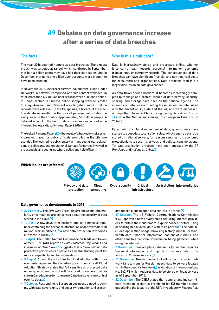### <span id="page-10-0"></span>**#9 Debates on data governance increase after a series of data breaches**

### The facts

The year 2016 counted numerous data breaches. The biggest breach was targeted at Yahoo!, which confirmed in September that half a billion users may have had their data stolen, and in December that up to one billion user accounts were thought to have been affected.

In November 2016, user records were leaked from Friend Finder Networks, a network comprised of adult‑content websites. In total, more than 412 million user records were published online. In China, Taobao (a Chinese online shopping website similar to eBay, Amazon, and Rakuten) was targeted, and 20 million records were released. In the Philippines, a breach of the election database resulted in the loss of personal information on every voter in the country: approximately 55 million people. A detailed account of the trend of data breaches can be read in the Internet Society's *Global Internet Report 2016*[.](https://www.internetsociety.org/globalinternetreport/2016/wp-content/uploads/2016/11/ISOC_GIR_2016-v1.pdf)

The leaked Panama Papers  $\mathbb{Z}$  – the result of a hacked e-mail server – wreaked havoc for public officials embroiled in the offshore scandal. The leak led to public outcry in many countries, resignations of politicians, and reputational damage for parties involved in the scandals and countries where politicians held office.

### Why is this significant?

Data is increasingly stored and processed online, whether it concerns health records, personal information, economic transactions, or company records. The consequences of data breaches can have significant financial and non‑financial costs for consumers and organisations. Data breaches feed into a larger discussion on data governance.

As data flows across borders, it becomes increasingly complex to manage and protect. Issues of data privacy, security, sharing, and storage have risen on the political agenda. The intensity of debates surrounding these issues has intensified with the advent of Big Data and the IoT, and were discussed, among other places, in China during the Big Data World Forum  $\Box$ and in the Netherlands during the European Data Forum  $2016.7$  $2016.7$  $2016.7$ 

Faced with the global movement of data, governments have started to adopt data localisation rules, which require data to be stored on national servers, for reasons ranging from economic protectionism, to security, privacy, and political considerations. Yet data localisation practices have been opposed by the G*7 Principles* and *Actions on Cyber*[.](http://www.mofa.go.jp/files/000160279.pdf)

**Which issues are affected?**



#### **Data governance developments in 2016**

- 27 February. The *2016 Data Threat Report* shows that the ma‑ jority of companies are concerned about the security of data stored in the clou[d.](http://blog.vormetric.com/2016/02/24/with-great-technology-comes-great-data-responsibility-the-cloud-big-data-and-iot-edition-of-the-vormetric-2016-data-threat-report/)<sup>[2]</sup>
- 12 April. A few days after hackers publish a massive database containing the personal information of approximately 50 million Turkish citizen[s,](http://www.aljazeera.com/news/2016/04/turkey-investigate-massive-leak-personal-data-160406082317417.html)  $\Box$  a new data protection law comes into force in Turke[y.](http://www.adalet.gov.tr/Tasarilar/kisisel_verilerin_korunmasi.pdf)<sup>[2]</sup>
- 19 April. The United Nations Conference on Trade and Development (UNCTAD) report on *Data Protection Regulations and InternationalData Flows<sup>7</sup>* suggests that a 'core set' of data protection principles can serve as a useful starting point for more compatibility and harmonisation.
- 5 August. Among the principles for cloud adoption within governmental agencies, the Canadian government's draft Cloud Adoption Strategy states that 'all sensitive or protected data under government control will be stored on servers that reside in Canada', in order to 'ensure Canada's sovereign control over its data['.](http://www.tbs-sct.gc.ca/hgw-cgf/oversight-surveillance/itpm-itgp/it-ti/cloud-nuage/cas-san-eng.asp)<sup>1</sup>
- 3 October. Responding to European businesses' need to comply with data sovereignty and security regulations, Microsoft

announces plans to open data centres in Franc[e.](https://news.microsoft.com/2016/10/03/microsoft-increases-european-cloud-investment-to-3-billion-unveils-cloud-policy-recommendations/#sm.00019rryg01begfkuv58yqgfwpltx)<sup>[2]</sup>

- 27 October. The US Federal Communications Commission (FCC) approves new privacy rules requiring Internet providers to obtain their customers' explicit consent before using or sharing behavioural data with third parties. $\Box$  The data includes application usage, browsing history, mobile location, health data, financial information, content of e-mails, and other sensitive personal information being gathered while using the Internet.
- 7 November. China adopts a cybersecurity law that requires 'personal information and important business data' to be stored on Chinese server[s.](https://www.cov.com/-/media/files/corporate/publications/2016/11/china_passes_new_cybersecurity_law.pdf)<sup>[2]</sup>
- 17 November. Russia blocks LinkedIn after the social network fails to transfer Russian users' data to servers located within the country's territory, $\Box$  in violation of Information Law No. 242‑FZ which requires data to be stored on local servers as of September 2015.
- 22 December. The CJEU states that 'general and indiscriminate retention' of data is prohibited for EU member states, questioning the legality of the UK's Investigatory Powers Act.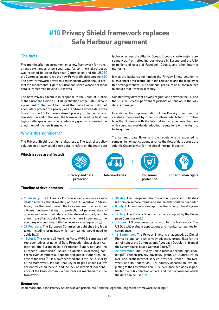## <span id="page-11-0"></span>**#10 Privacy Shield framework replaces Safe Harbour agreement**

### The facts

Five months after an agreement on a new framework for transatlantic exchanges of personal data for commercial purposes was reached between European Commission and the US[G,](http://europa.eu/rapid/press-release_IP-16-216_en.htm) the Commission approved the new Privacy Shield framework[.](http://europa.eu/rapid/press-release_IP-16-2461_en.htm)<sup>7</sup> The new framework provides a mechanism which should protect the fundamental rights of European users whose personal data is transferred beyond EU shores.

The new Privacy Shield is in response to the Court of Justice of the European Union's (CJEU) invalidation of the Safe Harbour agreement. $\Box$  The court had ruled that Safe Harbour did not adequately protect the privacy of EU citizens whose data was hosted in the USA's more relaxed privacy protection space. Towards the end of the year, the framework faced its first two legal challenges when privacy advocacy groups requested the annulment of the new framework.

### Why is this significant?

The Privacy Shield is a high-stakes issue. The lack of a policy solution on privacy could block data transfers on the main data highway across the Atlantic Ocean. It could create major consequences, from affecting businesses in Europe and the USA to millions of users of Facebook, Google, and other Internet platforms.

It was the backdrop for finding the Privacy Shield solution in such a short time-frame. Both the relevance and the fragility of this arrangement will put additional pressure on all main actors to ensure that it works in reality.

Substantively different privacy regulations between the EU and the USA will create permanent jurisdiction tension in the way data is managed.

In addition, the implementation of the Privacy Shield will be carefully monitored by other countries which tend to follow how the EU deals with the Internet industry, as was the case with countries worldwide adopting regulations on the right to be forgotten.

Transatlantic data flows and the regulations is expected to remain high on policy agendas since the flow of data across the Atlantic Ocean is vital for the global Internet industry.



#### **Timeline of developments**

- 2 February. The EU Justice Commissioner announces a new dea[l,](http://www.euractiv.com/sections/digital/commission-replaces-safe-harbour-rebranded-privacy-shield-321527) after a cabinet meeting of the EU Executive in Strasbourg. For the Commission, the key aims are 'to ensure that citizens fundamental right to protection of personal data is guaranteed when their data is transferred abroad'; and 'to allow transatlantic data flows – which are important to the economy – to continue, with the necessary safeguards['.](http://europa.eu/rapid/press-release_SPEECH-16-208_en.htm) $\Box$
- 29 February. The European Commission publishes the legal texts, including principles which companies would need to abide b[y.](http://europa.eu/rapid/press-release_IP-16-433_en.htm)<sup>12</sup>
- 13 April. The Article 29 Working Party (WP29; composed of representatives of national Data Protection Supervisory Authorities, the European Data Protection Supervisor, and the European Commission) issues its opinion, expressing concerns over commercial aspects and public authorities' ac‑ cess to the data. $\Box$  It is also concerned about the lack of clarity of the framework, the fact that key principles under EU law are not reflected therein, and the lack of sufficient independence of the Ombudsman – a new redress mechanism in the framework.
- 30 May. The European Data Protection Supervisor publishes his opinion: a more robust and sustainable solution needed[.](https://secure.edps.europa.eu/EDPSWEB/webdav/site/mySite/shared/Documents/EDPS/PressNews/Press/2016/EDPS-2016-11-PrivacyShield_EN.pdf)<sup>[2]</sup>
- 8 July. EU member states approve the Privacy Shield agreemen[t.](https://www.euractiv.com/section/digital/news/privacy-shield-agreement-signed-off-despite-vote-abstentions/)<sup>[2</sup>
- 12 July. The Privacy Shield is formally adopted by the Euro-pean Commission[.](http://europa.eu/rapid/press-release_IP-16-2461_en.htm)<sup>12</sup>
- 1 August. US companies can sign up for the framework. The US DoJ will evaluate applications and monitor companies for compliance.
- 16 September. The Privacy Shield is challenged, as Digital Rights Ireland, an Irish privacy advocacy group, files for the annulment of the Commission's Adequacy Decision in front of the Luxembourg-based General Cour[t.](http://curia.europa.eu/juris/document/document.jsf?text=&docid=185146&pageIndex=0&doclang=en&mode=lst&dir=&occ=first&part=1&cid=611733)<sup>12</sup>
- 20 November. The Privacy Shield faces a second legal challenge.<sup>1</sup> French privacy advocacy group La Quadrature du Net, non-profit Internet service provider French Data Network, and its Federation FDN industry association, are objecting to the restrictions on US surveillance activities, in particular the bulk collection of data, and the purposes for which the data can be use[d.](https://www.diplomacy.edu/blog/privacy-shield-challenged-second-time) $\square$

#### **Resources**

Read more about the Privacy Shield's seven principle[s,](https://www.diplomacy.edu/blog/eu-us-privacy-shields-seven-principles) and the legal challenges the framework is facin[g.](https://www.diplomacy.edu/blog/privacy-shield-challenged-second-time) [3]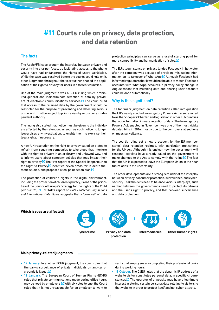### <span id="page-12-0"></span>**#11 Courts rule on privacy, data protection, and data retention**

### The facts

The Apple/FBI case brought the interplay between privacy and security into sharper focus, as facilitating access to the phone would have had endangered the rights of users worldwide. While the case was resolved before the courts could rule on it, other judgments throughout the year further shaped the application of the right to privacy for users in different countries.

One of the main judgments was a CJEU ruling which prohibited general and indiscriminate retention of data by providers of electronic communications services. $\blacksquare$  The court ruled that access to the retained data by the government should be restricted for the purpose of preventing and detecting serious crime, and must be subject to prior review by a court or an independent authority.

The ruling also stated that notice must be given to the individuals affected by the retention, as soon as such notice no longer jeopardises any investigation, to enable them to exercise their legal rights, if necessary.

A new UN resolution on the right to privacy called on states to refrain from requiring companies to take steps that interfere with the right to privacy in an arbitrary and unlawful way, and to inform users about company policies that may impact their right to privacy. $\Box$  The first report of the Special Rapporteur on the Right to Privac[y](http://digitalwatch.giplatform.org/sites/default/files/A-HRC-31-64.pdf) identified seven areas for in-depth thematic studies, and proposed a ten-point action pla[n.](http://digitalwatch.giplatform.org/events/human-rights-council-%E2%80%93-31st-session#srprivacy)<sup>12</sup>

The protection of children's rights in the digital environment, including the protection of children's privacy, is one of the priorities of the Council of Europe's Strategy for the Rights of the Child (2016–2021[\).](https://rm.coe.int/CoERMPublicCommonSearchServices/DisplayDCTMContent?documentId=090000168066cff8) UNCTAD's report on *Data Protection Regulations and International Data Flows* suggests that a 'core set' of data

protection principles can serve as a useful starting point for more compatibility and harmonisation of rules[.](http://unctad.org/en/PublicationsLibrary/dtlstict2016d1_en.pdf)<sup>[2]</sup>

The EU's tough stance on privacy landed Facebook in hot water after the company was accused of providing misleading information on its takeover of WhatsApp.<sup>[24</sup>] Although Facebook had informed regulators that it would not be able to match Facebook accounts with WhatsApp accounts, a privacy policy change in August meant that matching data and sharing user accounts could be done automatically.

### Why is this significant?

The landmark judgment on data retention called into question the UK's newly enacted Investigatory Powers Act, also referred to as the Snoopers' Charter, and legislation in other EU countries that allow for indiscriminate retention of data. The Investigatory Powers Act, enacted in November, was one of the most vividly debated bills in 2016, mostly due to the controversial sections on mass surveillance.

The court's ruling set a new precedent for the EU member states' data retention regimes, with particular implications for the UK Act. Although it is unclear how the government will respond, activists have already called on the government to make changes to the Act to comply with the ruling. $\Box$  The fact that the UK is expected to leave the European Union in the near future adds to the uncertainty.

The other developments are a strong reminder of the interplay between privacy, consumer protection, surveillance, and cybersecurity. Stakeholders need to balance various interplays, such as that between the government's need to protect its citizens and the user's right to privacy, and that between surveillance and data protection.

### **Which issues are affected?**





Privacy and data Intermediaries Other human rights protection





### **Main privacy‑related judgments**

- 12 January. In another ECHR judgment, the court rules that Hungary's surveillance of private individuals on anti-terror grounds is illegal[.](http://hudoc.echr.coe.int/eng?i=001-160020)<sup>[2]</sup>
- 12 January. The European Court of Human Rights (ECHR) rules that private communications made during office hours may be read by employers.<sup>7</sup> With six votes to one, the Court ruled that it is not unreasonable for an employer to want to

verify that employees are completing their professional tasks during working hours.

• 19 October. The CJEU rules that the dynamic IP address of a website visitor constitutes personal data, in specific circumstances. $\Box$  The operator of a website may have a legitimate interest in storing certain personal data relating to visitors to that website in order to protect itself against cyber-attacks.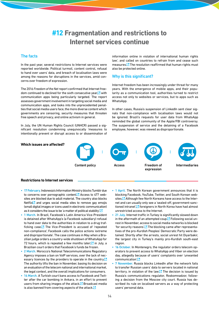### **#12 Fragmentation and restrictions to Internet services continue**

### <span id="page-13-0"></span>The facts

In the past year, several restrictions to Internet services were reported worldwide. Political turmoil, content control, refusal to hand over users' data, and breach of localisation laws were among the reasons for disruptions in the services, amid concerns over freedom of expression.

The 2016 *Freedom of the Net* report confirmed that Internet free‑ dom continued to declined for the sixth consecutive year, $\Box$  with communication apps being particularly targeted. The report assesses government involvement in targeting social media and communication apps, and looks into the unprecedented penalties that social media users face, the more diverse content which governments are censoring, security measures that threaten free speech and privacy, and online activism in general.

In July, the UN Human Rights Council (UNHCR) passed a significant resolution condemning unequivocally 'measures to intentionally prevent or disrupt access to or dissemination of information online in violation of international human rights law', and called on countries to refrain from and cease such measures. $\Box$  The resolution reaffirmed that human rights must also be protected online.

### Why is this significant?

Internet freedom has been increasingly under threat for many years. With the emergence of mobile apps, and their popularity as a communication tool, authorities turned to restrict access not only to websites or services, but to apps such as WhatsApp.

In other cases, Russia's suspension of LinkedIn sent clear signals that non‑compliance with localisation laws would not be ignored. Brazil's requests for user data from WhatsApp reminded the global community of the Apple/FBI controversy. The suspension of service and the detaining of a Facebook employee, however, was viewed as disproportionate.

### **Which issues are affected?**





Intermediaries

### **Restrictions to Internet services**

- 17 February. Indonesia's Information Ministry blocks Tumblr due to concerns over pornographic content. $\Box$  Access to 477 websites are blocked due to adult material. The country also blocks Netfli[x](http://www.bbc.com/news/technology-35429036)  $\Box$  and urges social media sites to remove gay emojis (small digital images or icons used in electronic communication) as it considers the issue to be 'a matter of political stability['.](http://foreignpolicy.com/2016/02/12/indonesian-official-gay-emojis-could-cause-civil-unrest/) $\Box$
- 1 March. In Brazil, Facebook's Latin America Vice-President is detained after WhatsApp's (a Facebook subsidiary) refusal to hand over data to the authorities in relation to a drug trafficking case. $\blacksquare$  The Vice-President is accused of 'repeated non‑compliance'; Facebook calls the police actions 'extreme and disproportionate'. The case continues in May when a Brazilian judge orders a country-wide shutdown of WhatsApp for 72 hours, which is repeated a few months later; $\boxed{\cdot}$  in July, a Brazilian court orders that Facebook's funds be frozen.
- 2 March. Morocco's National Telecommunications Regulatory Agency imposes a ban on VoIP services, over the lack of necessary licences by the providers to operate in the countr[y.](http://www.moroccoworldnews.com/2016/03/181130/meditel-says-decision-to-ban-voip-services-was-made-by-moroccos-anrt/)<sup>7</sup> The authority lifts the ban in November, basing its decision on an evaluation of the telecom national and international market, the legal context, and the overall implications for consumers.
- 14 March. A Turkish court bans access to Facebook and Twitter after the car bombing in Ankara, in an effort to prevent users from sharing images of the attack. $\Box$  Broadcast media is also banned from covering aspects of the attack[.](https://www.rt.com/news/335468-ankara-blast-websites-ban/)<sup>[2]</sup>
- 1 April. The North Korean government announces that it is blocking Facebook, YouTube, Twitter, and South Korean website[s. A](http://www.ndtv.com/world-news/north-korea-now-blocking-facebook-twitter-other-websites-1292887)lthough few North Koreans have access to the Internet and can usually only see a 'sealed-off, government-sanctioned intranet', **F** foreigners in North Korea have had almost unrestricted access to the Internet.
- 21 July. Internet traffic in Turkey is significantly slowed down in the aftermath of an attempted coup.<sup>17</sup> Following social unrest in November, access to social media networks is blocked 'for security reasons'. $\Box$  The blocking came after representatives of the pro-Kurdish Peoples' Democratic Party were detained. Shortly after the arrests, social unrest hit Diyarbakir, the largest city in Turkey's mainly pro-Kurdish south-east region.
- 16 October. In Montenegro, the regulator orders telecom operators to prevent access to WhatsApp and Viber on election day, allegedly because of users' complaints over 'unwanted communication['.](https://techcrunch.com/2016/11/17/linkedin-is-now-officially-blocked-in-russia/)<sup>[2</sup>
- 7 November. Russia blocks LinkedIn after the network fails to transfer Russian users' data to servers located in national territory, in violation of the law. $\Box$  The decision is issued by Russia's communications regulator, Roskomnadzor, following a decision from the Moscow city court. Russia has described its rule on localised servers as a way of protecting users' personal data.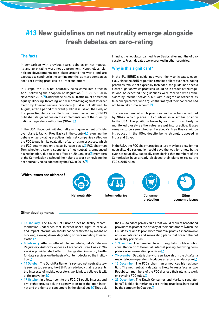## <span id="page-14-0"></span>**#13 New guidelines on net neutrality emerge alongside fresh debates on zero‑rating**

### The facts

In comparison with previous years, debates on net neutrality and zero-rating were not as prominent. Nonetheless, significant developments took place around the world and are expected to continue in the coming months, as more companies seek zero-rating practices to attract customers.

In Europe, the EU's net neutrality rules came into effect in April, following the adoption of Regulation (EU) 2015/2120 in November 2015. Inder these rules, all traffic must be treated equally. Blocking, throttling, and discriminating against Internet traffic by Internet service providers (ISPs) is not allowed. In August, after a period of vibrant public discussion, the Body of European Regulators for Electronic Communications (BEREC) published its guidelines on the implementation of the rules by national regulatory authorities (NRAs[\).](http://berec.europa.eu/eng/document_register/subject_matter/berec/regulatory_best_practices/guidelines/6160-berec-guidelines-on-the-implementation-by-national-regulators-of-european-net-neutrality-rules)<sup>[2]</sup>

In the USA, Facebook initiated talks with government officials over plans to launch Free Basics in the country, $\Box$  reigniting the debate on zero‑rating practices. Internet companies called on the FCC to publish its evaluation of zero-rating practices, which the FCC determines on a case-by-case basi[s.](http://www.stayopenfcc.org/letter.pdf)  $\Box$  FCC chairman Tom Wheeler, a strong supporter of net neutrality, announced his resignation, due to take effect on 20 January; $\Box$  members of the Commission disclosed their plans to work on revising the net neutrality rules adopted by the FCC in 201[5.](http://transition.fcc.gov/Daily_Releases/Daily_Business/2016/db1219/DOC-342677A1.pdf)

In India, the regulator banned Free Basics after months of discussions. Fresh debates were sparked in other countries.

### Why is this significant?

In the EU, BEREC's guidelines were highly anticipated, especially since the 2015 regulation remained silent over zero‑rating practices. While not expressly forbidden, the guidelines shed a clearer light on which practices would be in breach of the regulations. As expected, the guidelines were received with enthusiasm by Internet activists, but with a degree of reticence by telecom operators, who argued that many of their concerns had not been taken into account  $\square$ 

The assessment of such practices will now be carried out by NRAs, which places EU countries in a similar position to the USA. The positions taken by each will most likely be monitored closely as the rules are put into practice. It also remains to be seen whether Facebook's Free Basics will be introduced in the USA, despite being strongly opposed in India and Egypt.

In the USA, the FCC chairman's departure may be a blow for net neutrality. His resignation could pave the way for a new battle over net neutrality, especially considering that members of the Commission have already disclosed their plans to revise the FCC's 2015 rules.



#### **Other developments**

- 13 January. The Council of Europe's net neutrality recommendation underlines that 'Internet users' right to receive and impart information should not be restricted by means of blocking, slowing down, degrading or discriminating Internet traffic[.'](http://www.euractiv.com/section/digital/news/internet-activists-hail-historic-eu-net-neutrality-rules/)
- 8 February. After months of intense debate, India's Telecom Regulatory Authority opposes Facebook's Free Basics: 'No service provider shall offer or charge discriminatory tariffs for data services on the basis of content', declared the institution<sup>[2]</sup>
- 14 October. The Dutch Parliament's revised net neutrality law is seen as too severe; the GSMA, a trade body that represents the interests of mobile operators worldwide, believes it will stifle innovatio[n;](http://www.gsma.com/newsroom/press-release/gsma-warns-dutch-net-neutrality-law-conflict-eu-regulation/)[2]
- 17 October. In a letter sent to the FCC, 76 public interest and civil rights groups ask the agency to protect the open Internet and the rights of consumers in the digital age. $\Box$  They ask

the FCC to adopt privacy rules that would request broadband providers to protect the privacy of their customers (which the FCC doe[s](https://www.fcc.gov/document/fcc-adopts-broadband-consumer-privacy-rules) $\Box$ ), and to prohibit commercial practices that involve abusive data caps and zero-rating plans that breach the net neutrality principles.

- 1 November. The Canadian telecom regulator holds a public consultation on 'differential' Internet pricing, following complaints over zero-rating practice[s.](http://news.gc.ca/web/article-en.do?nid=1145189)<sup>1</sup>
- 7 November. Debate is likely to resurface also in the UK after a major telecom operator introduces a zero-rating data pla[n.](http://www.theverge.com/2016/11/7/13548910/virgin-media-zero-rating-uk-europe)<sup>12</sup>
- 15 December. The FCC's chairman announces his resignation. The net neutrality debate is likely to resurface as two Republican members of the FCC disclose their plans to work on revising FCC rules[.](http://transition.fcc.gov/Daily_Releases/Daily_Business/2016/db1219/DOC-342677A1.pdf)<sup>[3]</sup>
- 23 December. The Dutch Consumer and Markets regulator bans T‑Mobile Netherlands' zero‑rating practices, introduced by the company in Octobe[r.](http://www.reuters.com/article/us-deutsche-telekom-netherlands-regulato-idUSKBN14C0LS)<sup>1</sup>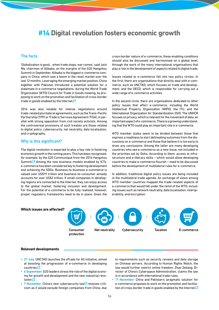### <span id="page-15-0"></span>**#14 Digital revolution fosters economic growth**

### The facts

'Globalization is good... when trade stops, war comes', said Jack Ma, chairman of Alibaba, on the margins of the G20 Hangzhou Summit in September. Alibaba is the biggest e-commerce company in China, which saw a boom in the retail market over the last 12 months. Leveraging the emerging market position, China together with Pakistan introduced a potential solution for a stalemate in e-commerce negotiations, during the World Trade Organization (WTO) Council for Trade in Goods meeting, by proposing to work on the promotion and facilitation of cross‑border trade in goods enabled by the Interne[t.](http://digitalwatch.giplatform.org/sites/default/files/110.pdf)<sup>1</sup>

2016 was also notable for intense negotiations around trade‑related plurilateral agreements, such as the Trans‑Pacific Partnership (TPP) or Trade in Services Agreement (TISA), in parallel with strong opposition from civil society activists. Among the controversial provisions of such treaties are those related to digital policy: cybersecurity, net neutrality, data localisation, and cryptography.

### Why is this significant?

The digital revolution is expected to play a key role in fostering economic growth in the coming years. This has been recognised, for example, by the G20 Communiqué from the 2016 Hangzhou Summit. $\Box$  Among the new business models enabled by ICTs, e‑commerce has been considered key to fostering development and achieving the SDGs. Business-to-business e-commerce is valued over US\$19 trillion and business‑to‑consumer already accounts for over US\$2 trillion. If small companies in developing regions are connected to the Internet, they can enjoy access to the global market, fostering inclusion and development. For the potential of e-commerce to be fully realised, however, proper regulatory frameworks need to be in place. Given the cross‑border nature of e‑commerce, these enabling conditions should also be discussed and harmonised on a global level, through the work of the many international organisations that play a role in the development of aspects related to digital trade.

Issues related to e‑commerce fall into two policy circles. In the first, there are organisations that directly deal with e-commerce, such as UNCTAD, which focuses on trade and development, and the OECD, which is responsible for carrying out a wide range of e-commerce activities.

In the second circle, there are organisations dedicated to other policy issues that affect e-commerce, including the World Intellectual Property Organization (WIPO), the ITU, and the International Organization for Standardization (ISO). The UNHCR focuses on privacy, which is relevant for the movement of data, an important aspect of e-commerce. There is a growing understanding that the WTO could play an important role in e-commerce.

WTO member states seem to be divided between those that express a readiness to start delineating outcomes from the discussions on e‑commerce and those that believe it is too early to draw any conclusions. Among the latter are many developing countries who see e‑commerce as a new issue, not included in the priorities set by Doha. According to them, access to infrastructure and e-literacy skills – which would allow developing countries to make e‑commerce flourish – need to be discussed before the development of multilateral rules for e-commerce.

In addition, traditional digital policy issues are being included in the multilateral trade agenda. An exchange of views among WTO member countries mapped the trade-related aspects of e-commerce that would fall under the remit of the WTO, including issues such as network neutrality, data localisation, interoperability, and encryption.

### **Which issues are affected?**



Net neutrality Cybersecurity Taxation E-commerce





**Relevant developments**

- 27 July. UNCTAD launches the eTrade for All initiative, aimed at boosting the progression of e‑commerce in developing countrie[s.](http://unctad.org/en/pages/PressRelease.aspx?OriginalVersionID=308)<sup>[3]</sup>
- 6 September. G20 leaders stress the role of the digital economy for growth and development and the new industrial revolutio[n.](http://www.diplomacy.edu/blog/digital-policy-issues-emphasised-g20-leaders%E2%80%99-summit)<sup>12</sup>
- 7 November. China's ne[w](http://www.reuters.com/article/us-china-parliament-cyber-idUSKBN132049) cybersecurity law **P** receives criticism as it would exclude foreign companies from China, due

to requirements such as security reviews and data storage on Chinese servers. According to Human Rights Watch, the law would further restrict online freedom. Zhao Zeliang, Director of China's Cyberspace Administration, claims the law is in accordance with international trade rules.

• 17 November. China and Pakistan's 'pragmatic solution' for e-commerce proposes to work on the promotion and facilita-tion of cross-border trade in goods enabled by the Internet[.](http://digitalwatch.giplatform.org/sites/default/files/110.pdf)<sup>7</sup>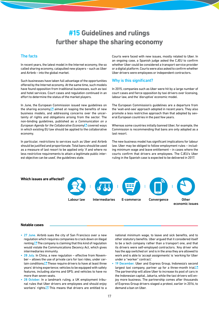### **#15 Guidelines and rulings further shape the sharing economy**

### <span id="page-16-0"></span>The facts

In recent years, the latest model in the Internet economy, the so called sharing economy, catapulted new players – such as Uber and Airbnb – into the global market.

Such businesses have taken full advantage of the opportunities offered by the Internet economy. At the same time, such models have found opposition from traditional businesses, such as taxi and hotel services. Court cases and regulation continued in an effort to determine the status of the market players.

In June, the European Commission issued new guidelines on the sharing econom[y,](http://europa.eu/rapid/press-release_IP-16-2001_en.htm)  $\Box$  aimed at reaping the benefits of new business models, and addressing concerns over the uncertainty of rights and obligations arising from the sector. The non‑binding guidelines, published as a *Communication on a European Agenda for the Collaborative Economy* Covered ways in which existing EU law should be applied to the collaborative economy.

In particular, restrictions to services such as Uber and Airbnb should be justified and proportionate. Total bans should be used as a measure of last resort to be applied only 'if and where no less restrictive requirements to attain a legitimate public interest objective can be used', the guidelines state.

Courts were faced with new issues, mostly related to Uber. In an ongoing case, a Spanish judge asked the CJEU to confirm whether Uber could be considered a transport service provider or a digital platform. Courts were also asked to confirm whether Uber drivers were employees or independent contractors.

### Why is this significant?

In 2015, companies such as Uber were hit by a large number of court cases and fierce opposition by taxi drivers over licensing, labour law, and the 'disruptive' economic model.

The European Commission's guidelines are a departure from the 'wait‑and‑see' approach adopted in recent years. They also promote a less restrictive approach than that adopted by several European countries in the past few years.

Whereas some countries initially banned Uber, for example, the Commission is recommending that bans are only adopted as a last resort.

The new business model has significant implications for labour law. Uber may be obliged to follow employment rules – including minimum wage and leave entitlement – in cases where the courts confirm that drivers are employees. The CJEU's Uber ruling in the Spanish case is expected to be delivered in 2017.

### **Which issues are affected?**





**Other** economic issues

### **Notable cases**

- 27 June. Airbnb sues the city of San Francisco over a new regulation which requires companies to crack down on illegal renting. $\Box$  The company is claiming that this kind of regulation would violate the Communications Decency Act, which gives intermediaries immunity.
- 28 July. In China, a new regulation effective from November – allows the use of private cars for taxi rides, under certain conditions. $\Box$  These require drivers to have at least three years' driving experience; vehicles to be equipped with safety features, including alarms and GPS; and vehicles to have no more than seven seats.
- 28 October. In a landmark ruling, a UK employment tribunal rules that Uber drivers are employees and should enjoy workers' rights. $\square$  This means that drivers are entitled to a

national minimum wage, to leave and sick benefits, and to other statutory benefits. Uber argued that it considered itself to be a tech company rather than a transport one, and that its drivers were self-employed contractors. 'Any driver who has the app switched on' and is in the area they are allowed to work and is able to 'accept assignments' is 'working for Uber under a "worker" contract.'

19 December. Uber and Express Group, Indonesia's second largest taxi company, partner up for a three-month tria[l.](https://techcrunch.com/2016/12/19/enemies-no-longer-uber-strikes-partnership-with-indonesias-second-largest-taxi-firm/?ncid=rss) $\Box$ The partnership will allow Uber to increase its pool of cars in the Indonesian capital, Jakarta, while the taxi drivers will enjoy more business. The partnership comes after thousands of Express Group drivers staged a protest, earlier in 2016, to demand a ban on Uber.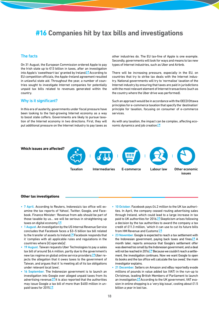### <span id="page-17-0"></span>**#16 Companies hit by tax bills and investigations**

### The facts

On 31 August, the European Commission ordered Apple to pay the Irish state up to €13 billion in taxes, after an investigation into Apple's 'sweetheart tax' granted by Ireland. $\Box$  According to EU competition officials, the Apple‑Ireland agreement resulted in unlawful state aid. Throughout the year, a number of countries sought to investigate Internet companies for potentially unpaid tax bills related to revenues generated within the country.

### Why is it significant?

In this era of austerity, governments under fiscal pressure have been looking to the fast-growing Internet economy as a way to boost state coffers. Governments are likely to pursue taxation of the Internet economy in two directions. First, they will put additional pressure on the Internet industry to pay taxes as

other industries do. The EU tax-fine of Apple is one example. Secondly, governments will look for ways and means to tax new types of Internet industries, such as Uber and Airbnb.

There will be increasing pressure, especially in the EU, on countries that try to strike tax deals with the Internet industry. National governments will try to 'normalise' taxation of the Internet industry by ensuring that taxes are paid in jurisdictions with the most relevant element of Internet transactions (such as the country where the Uber drive was performed).

Such an approach would be in accordance with the OECD Ottawa principles for e‑commerce taxation that specify the 'destination' principle for taxation, focusing on consumer of e‑commerce services.

As with any taxation, the impact can be complex, affecting eco-nomic dynamics and job creation[.](http://www.apple.com/uk/customer-letter/)<sup>1</sup>



#### **Other tax investigations**

- 7 April. According to Reuters, Indonesia's tax office will examine the tax reports of Yahoo!, Twitter, Google, and Facebook. Finance Minister: 'Revenue from ads should be part of those taxable by us… we will be serious in straightening up taxes on digital economy.<sup>'[2]</sup>
- 1 August. An investigation by the US Internal Revenue Service concludes that Facebook faces a \$3–5 billion tax bill related to the transfer of assets to Ireland.<sup>"</sup> Facebook responds that it 'complies with all applicable rules and regulations in the countries where [it] operate[s]'.
- 19 August. Taiwan requests Uber Technologies to pay a sales tax bill of around \$6.4 million, partly due to the government's new tax regime on global online service providers.<sup>M</sup> Uber rejects the allegation that it owes taxes to the government of Taiwan, and argues that it 'is meeting all of its tax obligations under relevant local laws'.
- 16 September. The Indonesian government is to launch an investigation into Google over alleged unpaid taxes from its advertising revenue. $\blacksquare$  It is also reported that the authorities may issue Google a tax bill of more than \$400 million in un-paid taxes for 201[5.](http://uk.reuters.com/article/uk-indonesia-google-idUKKCN11P0OY)
- 10 October. Facebook pays £4.2 million to the UK tax authorities. In April, the company ceased routing advertising sales through Ireland, which could lead to a large increase in tax paid to UK authorities for 201[6.](http://www.bbc.com/news/business-37600891) Skepticism arises following a decision by the tax authorities to award the company a tax credit of £11.3 million, 'which it can use to cut its future bills from HM Revenue and Customs['.](http://www.dailymail.co.uk/news/article-3829952/Row-tax-paid-Facebook-reignited-company-received-11-3m-tax-credit-just-months-promising-pay-more.html)<sup>[2]</sup>
- 23 November. Google is expected to reach a tax settlement with the Indonesian government, paying back taxes and fines.<sup>7</sup> A month later, reports announce that Google's settlement offer was deemed too small by the Indonesian government, and a deal will not be reached in 2016. <sup>1</sup> Because we couldn't reach a settlement, the investigation continues. Now we want Google to open its books and the tax office will calculate the tax owed,' the main investigator explains.
- 21 December. Sellers on Amazon and eBay reportedly evade millions of pounds in value added tax (VAT) in the run‑up to Christmas, leading British Members of Parliament to launch an investigation.<sup>1</sup> According to the UK government, VAT evasion in online shopping is a 'very big issue', costing about £1.5 billion a year in lost tax.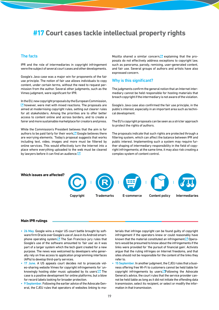### <span id="page-18-0"></span>**#17 Court cases tackle intellectual property rights**

### The facts

IPR and the role of intermediaries in copyright infringement were the subject of several court cases and other developments.

Google's Java case was a major win for proponents of the fair use principle. The notion of fair use allows individuals to copy content, under certain terms, without the need to request permission from the author. Several other judgments, such as the Vimeo judgment, were significant for IPR.

In the EU, new copyright proposals by the European Commission,  $\Box$  [h](http://digitalwatch.giplatform.org/updates/commission-proposes-new-copyright-rules)owever, were met with mixed reactions. The proposals are aimed at modernising copyright rules, setting out clearer rules for all stakeholders. Among the priorities are to offer better access to content online and across borders, and to create a fairer and more sustainable marketplace for creators and press.

While the Commission's President believes that the aim is for authors to be paid fairly for their work, $\Box$  Google believes there are worrying elements. 'Today's proposal suggests that works including text, video, images and more must be filtered by online services. This would effectively turn the Internet into a place where everything uploaded to the web must be cleared by lawyers before it can find an audience.<sup>' $\Box$ </sup>

Mozilla shared a similar concern, $\Box$  explaining that the proposals do not effectively address exceptions to copyright law, such as panorama, parody, remixing, user-generated content, and fair use. Several groups of authors and artists have also expressed concern.

### Why is this significant?

The judgments confirm the general notion that an Internet intermediary cannot be held responsible for hosting materials that breach copyright if the intermediary is not aware of the violation.

Google's Java case also confirmed the fair use principle, in the public's interest, especially in an important area such as technical development.

The EU's copyright proposals can be seen as a stricter approach to protect the rights of authors.

The proposals indicate that such rights are protected through a filtering system, which can affect the balance between IPR and public interest. Implementing such a system may require further shaping of intermediary responsibility in the field of copyright infringements; at the same time, it may also risk creating a complex system of content control.

**Which issues are affected?**









#### **Main IPR rulings**

- 26 May. Google wins a major US court battle brought by software firm Oracle over Google's use of Java in its Android smartphone operating system. $\Box$  The San Francisco jury rules that Google's use of the software amounted to 'fair use' as it was part of a larger system which the tech giant created for a new purpose. The news was welcomed by developers who generally rely on free access to application programming interfaces (APIs) to develop third-party services.
- 17 June. A US appeals court decides not to prosecute video-sharing website Vimeo for copyright infringements for 'unknowingly hosting older music uploaded by its users'. $\Box$  The case is a positive development for online platforms, but a blow for record labels looking for broader protection.
- 9 September. Following the earlier advice of the Advocate General, the CJEU rules that operators of websites linking to ma-

terials that infringe copyright can be found guilty of copyright infringement if the operators knew or could reasonably have known that the material constituted an infringement.<sup>7</sup> Operators would be presumed to know about the infringements if the links were provided for 'the pursuit of financial gain'. Activists argue that the ruling infringes on Internet freedoms, and that sites should not be responsible for the content of the links they refer to.

• 15 September. In another judgment, the CJEU rules that a business offering free Wi‑Fi to customers cannot be held liable for copyright infringements by users.<sup>M</sup>[F](http://curia.europa.eu/juris/document/document.jsf?text=&docid=183363&pageIndex=0&doclang=en&mode=req&dir=&occ=first&part=1&cid=816744)ollowing the Advocate General's advice, the court rules that the service provider cannot be held liable as long as it did not initiate the offending data transmission, select its recipient, or select or modify the information in that transmission.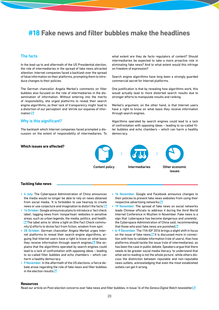### <span id="page-19-0"></span>**#18 Fake news and filter bubbles make the headlines**

### The facts

In the lead‑up to and aftermath of the US Presidential election, the role of intermediaries in the spread of fake news attracted attention. Internet companies faced a backlash over the spread of false information on their platforms, prompting them to introduce changes to their policies.

The German chancellor Angela Merkel's comments on filter bubbles also focused on the role of intermediaries in the dissemination of information. Without entering into the merits of responsibility, she urged platforms to reveal their search engine algorithms, as their lack of transparency might 'lead to a distortion of our perception' and 'shrink our expanse of infor-mation['.](https://www.theguardian.com/world/2016/oct/27/angela-merkel-internet-search-engines-are-distorting-our-perception)<sup>[2</sup>

### Why is this significant?

The backlash which Internet companies faced prompted a discussion on the extent of responsibility of intermediaries. To what extent are they de facto regulators of content? Should intermediaries be expected to take a more proactive role in eliminating fake news? And to what extent would this infringe on freedom of expression?

Search engine algorithms have long been a strongly guarded commercial secret for Internet platforms.

One justification is that by revealing how algorithms work, this would actually lead to more distorted search results due to stronger efforts to manipulate results and ranking.

Merkel's argument, on the other hand, is that Internet users have a right to know on what basis they receive information through search engines.

Algorithms operated by search engines could lead to a lack of confrontation with opposing ideas – leading to so-called filter bubbles and echo chambers – which can harm a healthy democracy.

### **Which issues are affected?**

Content policy Intermediaries Other economic



### issues

#### **Tackling fake news**

- 4 July. The Cyberspace Administration of China announces the media would no longer be able to rely on news obtained from social media. 'It is forbidden to use hearsay to create news or use conjecture and imagination to distort the facts['.](http://www.reuters.com/article/us-china-internet-idUSKCN0ZK06N)
- 14 October. Google announces plans to introduce a 'fact check label', tagging news from 'nonpartisan' websites in sensitive areas, such as urban legends, the media, politics, and health.  $\Box$  [T](http://www.wsj.com/articles/in-heated-election-season-google-spotlights-debunkers-with-fact-check-label-1476477547)he label aims to 'shine a light on [the Fact Check community's] efforts to divine fact from fiction, wisdom from spin'.
- 28 October. German chancellor Angela Merkel urges Internet platforms to reveal their search engine algorithms, arguing that Internet users have a right to know on what basis they receive information through search engines[.](https://www.theguardian.com/world/2016/oct/27/angela-merkel-internet-search-engines-are-distorting-our-perception)  $\Box$  She explains that the algorithms operated by search engines could lead to a lack of confrontation with opposing ideas – leading to so‑called filter bubbles and echo chambers – which can harm a healthy democracy.
- 9 November. In the aftermath of the US elections, a fierce debate arose regarding the role of fake news and filter bubbles in the election results  $\mathbb{Z}$
- 16 November. Google and Facebook announce changes to their policies to prevent fake news websites from using their respective advertising network[s.](http://www.reuters.com/article/us-alphabet-advertising-idUSKBN1392MM)<sup>1</sup>
- 19 November. The spread of fake news on social networks leads Chinese officials to address it during the third World Internet Conference in Wuzhen in November. Fake news is a sign that 'cyberspace has become dangerous and unwieldy', the Cyberspace Administration of China said, recommending that those who post fake news are punished[.](http://www.reuters.com/article/us-china-internet-idUSKBN13F01K) $\square$
- 6–9 December. The 11th IGF 2016 brings a slight shift in focus on the issue of fake news. $\mathbb{Z}$  It is discussed more in connection with how to validate information (role of users), than how platforms should tackle the issue (role of intermediaries), as has been the case in public debate. Speakers argue that there needs to be greater social media literacy 'to understand that what we're reading is not the whole picture', while others discuss the distinction between reputable and non-reputable news outlets, acknowledging that even the most established outlets can get it wrong.

#### **Resources**

Read our article on Post‑election concerns over fake news and filter bubbles, in Issue 16 of the *Geneva Digital Watch* newslette[r.](http://digitalwatch.giplatform.org/sites/default/files/DWnewsletter16.pdf)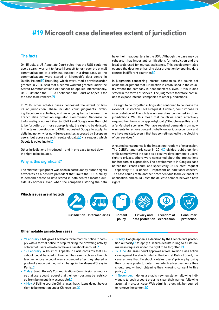### <span id="page-20-0"></span>**#19 Microsoft case delineates extent of jurisdiction**

### The facts

On 15 July, a US Appellate Court ruled that the USG could not use a search warrant to force Microsoft to turn over the e-mail communications of a criminal suspect in a drug case, as the communications were stored at Microsoft's data centre in Dublin, Ireland.<sup>7</sup> The ruling, which overturned a previous order granted in 2014, said that a search warrant granted under the Stored Communications Act cannot be applied internationally. On 21 October, the US DoJ petitioned the Court of Appeals for the case to be reheard[.](https://www.documentcloud.org/documents/3141942-Microsoft-Silk-Road-DOJ-United-States-Appellee.html)<sup>1</sup>

In 2016, other notable cases delineated the extent or limits of jurisdiction. These included court judgments involving Facebook's activities, and an ongoing battle between the French data protection regulator (Commission Nationale de l'Informatique et des Libertés, CNIL) and Google over the right to be forgotten, or more appropriately, the right to be delisted. In the latest development, CNIL requested Google to apply its delisting not only for non‑European sites accessed by European users, but across search results globally $\mathbb{Z}$  – a request which Google is objecting t[o.](https://blog.google/topics/google-europe/a-principle-that-should-not-be-forgotten/)

Other jurisdictions introduced – and in one case turned down – the right to be delisted.

### Why is this significant?

The Microsoft judgment was seen in particular by human rights advocates as a positive precedent that limits the USG's ability to demand access to data stored in data centres located outside US borders, even when the companies storing the data

have their headquarters in the USA. Although the case may be reheard, it has important ramifications for jurisdiction and the legal tools used for mutual assistance. This development also opened the door for enhancing data protection by opening data centres in different countrie[s.](https://news.microsoft.com/2016/10/03/microsoft-increases-european-cloud-investment-to-3-billion-unveils-cloud-policy-recommendations/#sm.00019rryg01begfkuv58yqgfwpltx)<sup>[2]</sup>

In judgments concerning Internet companies, the courts set aside the argument that jurisdiction is established in the country where the company is headquartered, even if this is also stated in the terms of service. The judgments therefore continued to expose Internet companies to other jurisdictions.

The right to be forgotten rulings also continued to delineate the extent of jurisdiction. CNIL's request, if upheld, could impose its interpretation of French law on searches conducted in other jurisdictions. Will this mean that countries could effectively request their laws to be applied globally? Google says this is not a far-fetched scenario: 'We have received demands from governments to remove content globally on various grounds – and we have resisted, even if that has sometimes led to the blocking of our services.'

A related consequence is the impact on freedom of expression. The CJEU's landmark case in 2014 $\Box$  divided public opinion: while some viewed the case as a positive development to users' right to privacy, others were concerned about the implications for freedom of expression. The developments in Google's case before the French court, and specifically CNIL's latest request – especially if it is upheld – represent an additional concern. The case could create another precedent due to the extent of its application, and could upset the delicate balance between both rights.

#### **Which issues are affected?**

Jurisdiction Intermediaries Content Privacy and Freedom of Consumer

Content policy Privacy and data protection

Freedom of expression protection

### **Other notable jurisdiction cases**

- 9 February. CNIL gives Facebook three months' notice to comply with a formal notice to stop tracking the browsing activity of Internet users who do not have a Facebook accoun[t.](https://www.cnil.fr/en/french-data-protection-authority-publicly-issues-formal-notice-facebook-comply-french-data)<sup>12</sup>
- 12 February. A Court of Appeals in Paris confirms that Facebook could be sued in France. The case involves a French teacher whose account was suspended after they shared a photo of a nude painting which hangs in the Musee d'Orsay in Pari[s.](http://www.cottineau.net/wp-content/uploads/2016/02/facebook-jugement-cour-appel-paris-12-fevrier-2016.pdf)<sup>12</sup>
- 2 May. South Korea's Communications Commission announces that users could request that their own postings be restricted from being publicly accessibl[e.](http://www.kcc.go.kr/user.do?boardId=1113&page=A05030000&dc=K00000001&boardSeq=42370&mode=view)<sup>1</sup>
- 4 May. A Beijing court in China rules that citizens do not have a right to be forgotten under Chinese la[w.](http://bjhdfy.chinacourt.org/public/detail.php?id=4095)<sup>12</sup>
- 19 May. Google appeals a decision by the French data protection authority $\mathcal{L}$  to appl[y](https://www.cnil.fr/sites/default/files/atoms/files/d2016-054_penalty_google.pdf) a search-results ruling to all its do-mains in requests under the right to be forgotten[.](https://blog.google/topics/google-europe/a-principle-that-should-not-be-forgotten/) $\square$
- 17 June. An Israeli court approves a \$400 million class action case against Facebook. Filed in the Central District Court, the case argues that Facebook violates users' privacy by using their private posts to determine which advertisements they should see, without obtaining their knowing consent to this polic[y.](http://www.haaretz.com/israel-news/business/1.725512)<sup>12</sup>
- 1 November. Indonesia enacts new legislation allowing individuals to seek a court order to clear their names following acquittal in a court case. Web administrators will be required to remove the content [2]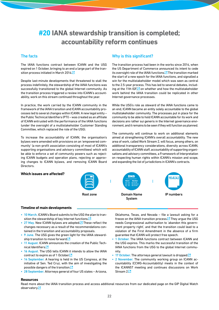## <span id="page-21-0"></span>**#20 IANA stewardship transition is completed; accountability reform continues**

### The facts

The IANA functions contract between ICANN and the USG expired on 1 October, bringing to an end a large part of the tran-sition process initiated in March 201[4.](http://digitalwatch.giplatform.org/processes/iana)

Despite last-minute developments that threatened to stall the process indefinitely, the stewardship of the IANA functions was successfully transitioned to the global Internet community. As the transition process triggered a review into ICANN's accountability, work on this stream continued throughout the year.

In practice, the work carried by the ICANN community in the framework of the IANA transition and ICANN accountability processes led to several changes within ICANN. A new legal entity – the Public Technical Identifiers (PTI) – was created as an affiliate of ICANN entrusted with the performance of the IANA functions (under the oversight of a multistakeholder Customer Standing Committee, which replaced the role of the USG).

To increase the accountability of ICANN, the organisation's bylaws were amended with provisions on an 'empowered community' (a non‑profit association consisting of most of ICANN's supporting organisations and advisory committees) which will be able to enforce a set of community powers such as rejecting ICANN budgets and operation plans, rejecting or approving changes to ICANN bylaws, and removing ICANN Board Directors.

### **Which issues are affected?**

### Why is this significant?

The transition process had been in the works since 2014, when the US Department of Commerce announced its intent to cede its oversight role of the IANA functions.<sup>7</sup> The transition marked the start of a new epoch for the IANA functions, and signalled a win for the multistakeholder model which was seen as central to the 2.5-year process. This has led to several debates, including at the 11th IGF $\Box$  on whether and how the multistakeholder work behind the IANA transition could be replicated in other Internet governance processes.

While the USG's role as steward of the IANA functions came to an end, ICANN became an entity solely accountable to the global multistakeholder community. The processes put in place for the community to be able to hold ICANN accountable for its work and decisions are rather sui generis in the Internet governance environment, and it remains to be seen if they will function as planned.

The community will continue to work on additional elements aimed at strengthening ICANN's overall accountability. The new area of work, called Work Stream 2, will focus, among others, on additional transparency considerations, diversity across ICANN, accountability of ICANN staff, accountability of supporting organisations and advisory committees, a Framework of Interpretation on respecting human rights within ICANN's mission and scope, and expanding the list of jurisdictions in ICANN's contracts.



### **Timeline of main developments**

- 10 March. ICANN's Board submits to the USG the plan to tran-sition the stewardship of key Internet functions[.](https://www.icann.org/news/announcement-2016-03-10-en)<sup>[3]</sup>
- 27 May. New ICANN bylaws are adopted. $\Box$  These reflect the changes necessary as a result of the recommendations contained in the transition and accountability proposals.
- 9 June. The USG gives the green light for the IANA steward-ship transition to move forward[.](https://www.ntia.doc.gov/press-release/2016/iana-stewardship-transition-proposal-meets-criteria-complete-privatization)<sup>[2</sup>
- 11 August. ICANN announces the creation of the Public Tech-nical Identifiers[.](https://www.icann.org/news/announcement-2-2016-08-11-en)<sup>[2]</sup>
- 16 August. The USG tells ICANN it intends to allow the IANA contract to expire as of 1 Octobe[r.](https://www.ntia.doc.gov/files/ntia/publications/20160816marby.pdf)<sup>1</sup>
- 14 September. A hearing is held in the US Congress, at the initiative of Sen. Ted Cruz, with the aim of investigating the possible dangers of the transitio[n.](http://www.judiciary.senate.gov/meetings/protecting-internet-freedom-implications-of-ending-us-oversight-of-the-internet)<sup>12</sup>
- 28 September. Attorneys general of four US states Arizona,

Oklahoma, Texas, and Nevada – file a lawsuit asking for a freeze on the IANA transition process. $\Box$  They argue the USG needs Congressional authorisation to 'abandon this government property right', and that the transition could lead to a violation of the First Amendment in the absence of a firm guarantee that ICANN will protect free speech.

- 1 October. The IANA functions contract between ICANN and the USG expires. This marks the successful transition of the IANA functions from the USG to the global Internet community.
- 17 October. The attorneys general lawsuit is droppe[d.](https://regmedia.co.uk/2016/10/17/iana-dimissal.pdf)<sup>[2]</sup>
- 2 November. The community working group on ICANN accountability (CCWG-Accountability) meets in the context of the ICANN57 meeting and continues discussions on Work Stream [2.](https://www.icann.org/news/blog/co-chairs-statement-from-ccwg-accountability-meeting-in-hyderabad)<sup>12</sup>

#### **Resources**

Read more about the IANA transition process and access additional resources from our dedicated page on the GIP Digital Watch observator[y.](http://digitalwatch.giplatform.org/processes/iana)<sup>13</sup>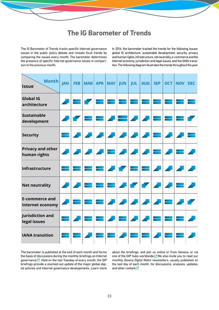### **The IG Barometer of Trends**

<span id="page-22-0"></span>The IG Barometer of Trends tracks specific Internet governance issues in the public policy debate and reveals focal trends by comparing the issues every month. The barometer determines the presence of specific Internet governance issues in comparison to the previous month.

In 2016, the barometer tracked the trends for the following issues: global IG architecture, sustainable development, security, privacy and human rights, infrastructure, net neutrality, e-commerce and the Internet economy, jurisdiction and legal issues, and the IANA transition. The following diagram illustrates the trends throughout the year.

| Month<br><b>Issue</b>                            | <b>JAN</b> | <b>FEB</b> |                                     |                   | MAR APR MAY JUN |       | JUL <b>I</b> | AUG   SEP         |                              | OCT NOV DEC                   |  |
|--------------------------------------------------|------------|------------|-------------------------------------|-------------------|-----------------|-------|--------------|-------------------|------------------------------|-------------------------------|--|
| <b>Global IG</b><br>architecture                 |            |            |                                     |                   |                 |       |              |                   |                              |                               |  |
| <b>Sustainable</b><br>development                |            |            |                                     |                   |                 |       | <b>HIPA</b>  |                   |                              |                               |  |
| <b>Security</b>                                  |            |            | <b>A</b>                            | <b>All Street</b> |                 | 2 2 2 |              | <b>STATE</b>      | $\qquad \qquad \blacksquare$ |                               |  |
| <b>Privacy and other</b><br>human rights         |            |            | $\mathbf{Z}[\mathbf{Z} \mathbf{Z}]$ |                   |                 |       |              | <u>거품 거거거품 거품</u> |                              |                               |  |
| Infrastructure                                   |            |            |                                     |                   |                 |       |              | 88 <i>11</i>      |                              | <b>The Contract of Street</b> |  |
| <b>Net neutrality</b>                            |            |            |                                     |                   |                 |       |              | $\blacksquare$    |                              |                               |  |
| <b>E-commerce and</b><br><b>Internet economy</b> |            |            |                                     |                   |                 |       |              | <b>ALABER</b>     |                              |                               |  |
| <b>Jurisdiction and</b><br>legal issues          |            |            |                                     |                   |                 |       |              |                   |                              |                               |  |
| <b>IANA transition</b>                           |            |            |                                     |                   |                 |       |              |                   |                              |                               |  |

The barometer is published at the end of each month and forms the basis of discussions during the monthly briefings on Internet governance.<sup>1</sup> Held on the last Tuesday of every month, the GIP briefings provide a zoomed-out update of the major global digital policies and Internet governance developments. Learn more

about the briefings, and join us online or from Geneva, or via one of the GIP hubs worldwide[.](http://digitalwatch.giplatform.org/briefings) $\Box$  We also invite you to read our monthly *Geneva Digital Watch* newsletters, usually published on the last day of each month, for discussions, analyses, updates, and other conten[t.](http://digitalwatch.giplatform.org/newsletter)<sup>[2]</sup>